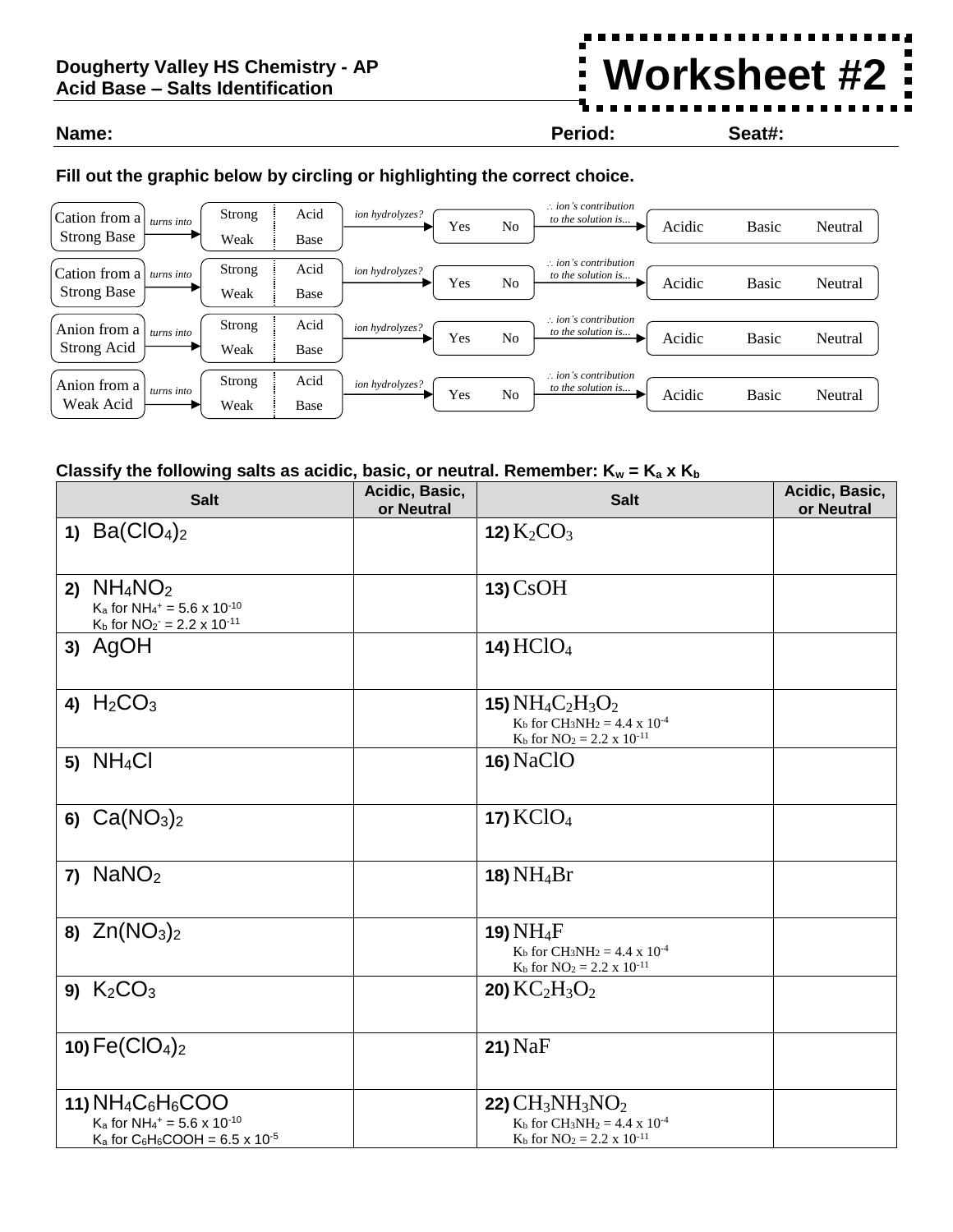## **Dougherty Valley HS Chemistry - AP Acid Base – Salts Identification**

## **Name: Period: Seat#:**

**Worksheet #2**

## **Fill out the graphic below by circling or highlighting the correct choice.**



## **Classify the following salts as acidic, basic, or neutral. Remember:**  $K_w = K_a \times K_b$

| <b>Salt</b>                                                                                                                 | Acidic, Basic,<br>or Neutral | <b>Salt</b>                                                                                                                         | Acidic, Basic,<br>or Neutral |
|-----------------------------------------------------------------------------------------------------------------------------|------------------------------|-------------------------------------------------------------------------------------------------------------------------------------|------------------------------|
| 1) $Ba(CIO4)2$                                                                                                              |                              | 12) $K_2CO_3$                                                                                                                       |                              |
| 2) $NH_4NO_2$<br>$K_a$ for NH <sub>4</sub> <sup>+</sup> = 5.6 x 10 <sup>-10</sup><br>$K_b$ for $NO_2 = 2.2 \times 10^{-11}$ |                              | $13)$ CsOH                                                                                                                          |                              |
| 3) AgOH                                                                                                                     |                              | 14) $HC1O4$                                                                                                                         |                              |
| 4) $H_2CO_3$                                                                                                                |                              | 15) $NH_4C_2H_3O_2$<br>$K_b$ for CH <sub>3</sub> NH <sub>2</sub> = 4.4 x 10 <sup>-4</sup><br>$K_b$ for $NO_2 = 2.2 \times 10^{-11}$ |                              |
| 5) $NH_4Cl$                                                                                                                 |                              | <b>16) NaClO</b>                                                                                                                    |                              |
| 6) $Ca(NO3)2$                                                                                                               |                              | <b>17) KClO</b> <sub>4</sub>                                                                                                        |                              |
| $7)$ NaNO <sub>2</sub>                                                                                                      |                              | 18) NH <sub>4</sub> Br                                                                                                              |                              |
| 8) $Zn(NO3)2$                                                                                                               |                              | 19) $NH_4F$<br>$K_b$ for CH <sub>3</sub> NH <sub>2</sub> = 4.4 x 10 <sup>-4</sup><br>$K_b$ for $NO_2 = 2.2 \times 10^{-11}$         |                              |
| 9) $K_2CO_3$                                                                                                                |                              | <b>20)</b> $KC2H3O2$                                                                                                                |                              |
| 10) $Fe(CIO4)2$                                                                                                             |                              | $21)$ NaF                                                                                                                           |                              |
| 11) $NH_4C_6H_6COO$<br>$K_a$ for NH <sub>4</sub> <sup>+</sup> = 5.6 x 10 <sup>-10</sup>                                     |                              | 22) $CH3NH3NO2$<br>$K_b$ for $CH_3NH_2 = 4.4 \times 10^{-4}$                                                                        |                              |
| $K_a$ for C <sub>6</sub> H <sub>6</sub> COOH = 6.5 x 10 <sup>-5</sup>                                                       |                              | $K_b$ for $NO_2 = 2.2 \times 10^{-11}$                                                                                              |                              |